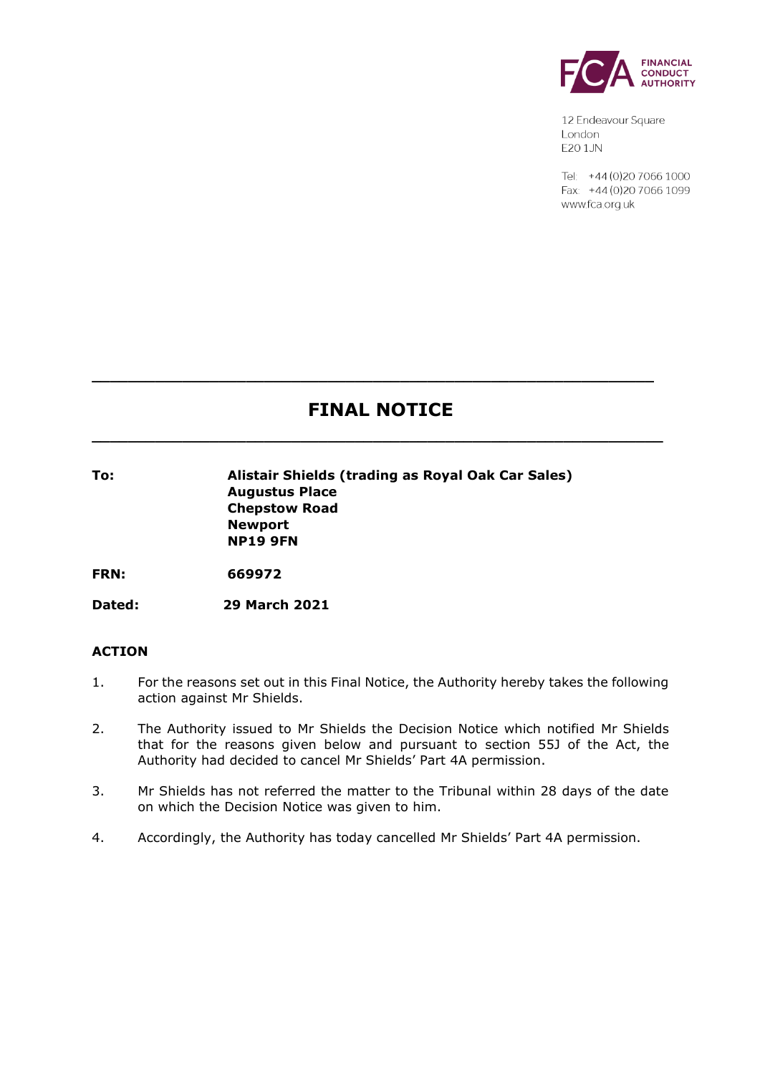

12 Endeavour Square London E201JN

Tel: +44 (0) 20 7066 1000 Fax: +44 (0) 20 7066 1099 www.fca.org.uk

# **FINAL NOTICE**

**\_\_\_\_\_\_\_\_\_\_\_\_\_\_\_\_\_\_\_\_\_\_\_\_\_\_\_\_\_\_\_\_\_\_\_\_\_\_\_\_\_\_\_\_\_\_\_\_\_\_\_\_\_\_\_\_\_\_\_\_\_\_\_**

**\_\_\_\_\_\_\_\_\_\_\_\_\_\_\_\_\_\_\_\_\_\_\_\_\_\_\_\_\_\_\_\_\_\_\_\_\_\_\_\_\_\_\_\_\_\_\_\_\_\_\_\_\_\_\_\_\_\_\_\_\_\_**

**To: Alistair Shields (trading as Royal Oak Car Sales) Augustus Place Chepstow Road Newport NP19 9FN**

**FRN: 669972**

**Dated: 29 March 2021**

## **ACTION**

- 1. For the reasons set out in this Final Notice, the Authority hereby takes the following action against Mr Shields.
- 2. The Authority issued to Mr Shields the Decision Notice which notified Mr Shields that for the reasons given below and pursuant to section 55J of the Act, the Authority had decided to cancel Mr Shields' Part 4A permission.
- 3. Mr Shields has not referred the matter to the Tribunal within 28 days of the date on which the Decision Notice was given to him.
- 4. Accordingly, the Authority has today cancelled Mr Shields' Part 4A permission.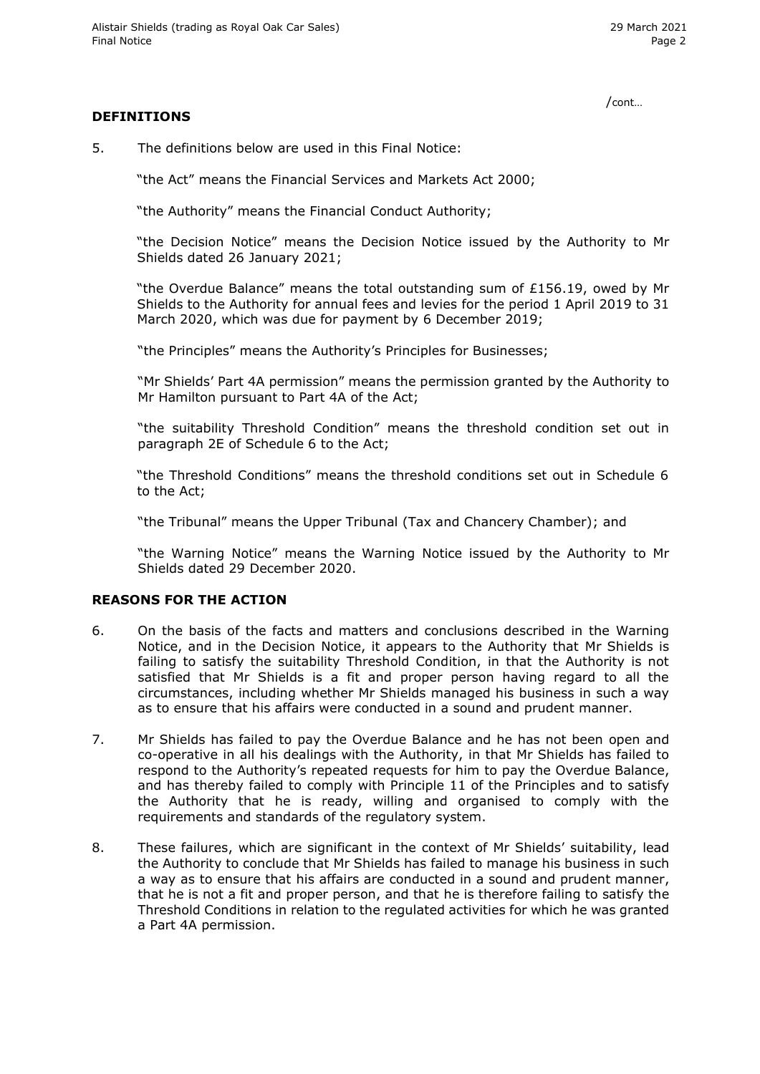/cont…

#### **DEFINITIONS**

5. The definitions below are used in this Final Notice:

"the Act" means the Financial Services and Markets Act 2000;

"the Authority" means the Financial Conduct Authority;

"the Decision Notice" means the Decision Notice issued by the Authority to Mr Shields dated 26 January 2021;

"the Overdue Balance" means the total outstanding sum of £156.19, owed by Mr Shields to the Authority for annual fees and levies for the period 1 April 2019 to 31 March 2020, which was due for payment by 6 December 2019;

"the Principles" means the Authority's Principles for Businesses;

"Mr Shields' Part 4A permission" means the permission granted by the Authority to Mr Hamilton pursuant to Part 4A of the Act;

"the suitability Threshold Condition" means the threshold condition set out in paragraph 2E of Schedule 6 to the Act;

"the Threshold Conditions" means the threshold conditions set out in Schedule 6 to the Act;

"the Tribunal" means the Upper Tribunal (Tax and Chancery Chamber); and

"the Warning Notice" means the Warning Notice issued by the Authority to Mr Shields dated 29 December 2020.

## **REASONS FOR THE ACTION**

- 6. On the basis of the facts and matters and conclusions described in the Warning Notice, and in the Decision Notice, it appears to the Authority that Mr Shields is failing to satisfy the suitability Threshold Condition, in that the Authority is not satisfied that Mr Shields is a fit and proper person having regard to all the circumstances, including whether Mr Shields managed his business in such a way as to ensure that his affairs were conducted in a sound and prudent manner.
- 7. Mr Shields has failed to pay the Overdue Balance and he has not been open and co-operative in all his dealings with the Authority, in that Mr Shields has failed to respond to the Authority's repeated requests for him to pay the Overdue Balance, and has thereby failed to comply with Principle 11 of the Principles and to satisfy the Authority that he is ready, willing and organised to comply with the requirements and standards of the regulatory system.
- 8. These failures, which are significant in the context of Mr Shields' suitability, lead the Authority to conclude that Mr Shields has failed to manage his business in such a way as to ensure that his affairs are conducted in a sound and prudent manner, that he is not a fit and proper person, and that he is therefore failing to satisfy the Threshold Conditions in relation to the regulated activities for which he was granted a Part 4A permission.